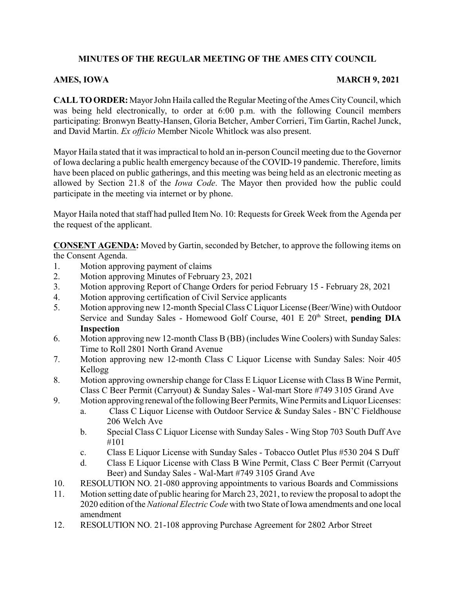# **MINUTES OF THE REGULAR MEETING OF THE AMES CITY COUNCIL**

## AMES, IOWA MARCH 9, 2021

**CALLTOORDER:**Mayor John Haila called the Regular Meeting ofthe Ames CityCouncil, which was being held electronically, to order at 6:00 p.m. with the following Council members participating: Bronwyn Beatty-Hansen, Gloria Betcher, Amber Corrieri, Tim Gartin, Rachel Junck, and David Martin. *Ex officio* Member Nicole Whitlock was also present.

Mayor Haila stated that it was impractical to hold an in-person Council meeting due to the Governor of Iowa declaring a public health emergency because of the COVID-19 pandemic. Therefore, limits have been placed on public gatherings, and this meeting was being held as an electronic meeting as allowed by Section 21.8 of the *Iowa Code*. The Mayor then provided how the public could participate in the meeting via internet or by phone.

Mayor Haila noted that staff had pulled Item No. 10: Requests for Greek Week from the Agenda per the request of the applicant.

**CONSENT AGENDA:** Moved by Gartin, seconded by Betcher, to approve the following items on the Consent Agenda.

- 1. Motion approving payment of claims
- 2. Motion approving Minutes of February 23, 2021
- 3. Motion approving Report of Change Orders for period February 15 February 28, 2021
- 4. Motion approving certification of Civil Service applicants
- 5. Motion approving new 12-month Special Class C Liquor License (Beer/Wine) with Outdoor Service and Sunday Sales - Homewood Golf Course, 401 E 20<sup>th</sup> Street, **pending DIA Inspection**
- 6. Motion approving new 12-month Class B (BB) (includes Wine Coolers) with Sunday Sales: Time to Roll 2801 North Grand Avenue
- 7. Motion approving new 12-month Class C Liquor License with Sunday Sales: Noir 405 Kellogg
- 8. Motion approving ownership change for Class E Liquor License with Class B Wine Permit, Class C Beer Permit (Carryout) & Sunday Sales - Wal-mart Store #749 3105 Grand Ave
- 9. Motion approving renewal of the following Beer Permits, Wine Permits and Liquor Licenses:
	- a. Class C Liquor License with Outdoor Service & Sunday Sales BN'C Fieldhouse 206 Welch Ave
	- b. Special Class C Liquor License with Sunday Sales Wing Stop 703 South Duff Ave #101
	- c. Class E Liquor License with Sunday Sales Tobacco Outlet Plus #530 204 S Duff
	- d. Class E Liquor License with Class B Wine Permit, Class C Beer Permit (Carryout Beer) and Sunday Sales - Wal-Mart #749 3105 Grand Ave
- 10. RESOLUTION NO. 21-080 approving appointments to various Boards and Commissions
- 11. Motion setting date of public hearing for March 23, 2021, to review the proposal to adopt the 2020 edition ofthe *National Electric Code* with two State ofIowa amendments and one local amendment
- 12. RESOLUTION NO. 21-108 approving Purchase Agreement for 2802 Arbor Street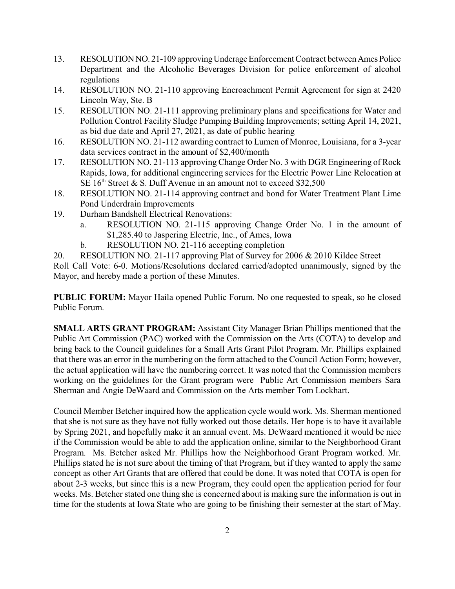- 13. RESOLUTIONNO. 21-109 approvingUnderage Enforcement Contract betweenAmes Police Department and the Alcoholic Beverages Division for police enforcement of alcohol regulations
- 14. RESOLUTION NO. 21-110 approving Encroachment Permit Agreement for sign at 2420 Lincoln Way, Ste. B
- 15. RESOLUTION NO. 21-111 approving preliminary plans and specifications for Water and Pollution Control Facility Sludge Pumping Building Improvements; setting April 14, 2021, as bid due date and April 27, 2021, as date of public hearing
- 16. RESOLUTION NO. 21-112 awarding contract to Lumen of Monroe, Louisiana, for a 3-year data services contract in the amount of \$2,400/month
- 17. RESOLUTION NO. 21-113 approving Change Order No. 3 with DGR Engineering of Rock Rapids, Iowa, for additional engineering services for the Electric Power Line Relocation at SE  $16<sup>th</sup>$  Street & S. Duff Avenue in an amount not to exceed \$32,500
- 18. RESOLUTION NO. 21-114 approving contract and bond for Water Treatment Plant Lime Pond Underdrain Improvements
- 19. Durham Bandshell Electrical Renovations:
	- a. RESOLUTION NO. 21-115 approving Change Order No. 1 in the amount of \$1,285.40 to Jaspering Electric, Inc., of Ames, Iowa
	- b. RESOLUTION NO. 21-116 accepting completion
- 20. RESOLUTION NO. 21-117 approving Plat of Survey for 2006 & 2010 Kildee Street

Roll Call Vote: 6-0. Motions/Resolutions declared carried/adopted unanimously, signed by the Mayor, and hereby made a portion of these Minutes.

**PUBLIC FORUM:** Mayor Haila opened Public Forum. No one requested to speak, so he closed Public Forum.

**SMALL ARTS GRANT PROGRAM:** Assistant City Manager Brian Phillips mentioned that the Public Art Commission (PAC) worked with the Commission on the Arts (COTA) to develop and bring back to the Council guidelines for a Small Arts Grant Pilot Program. Mr. Phillips explained that there was an error in the numbering on the form attached to the Council Action Form; however, the actual application will have the numbering correct. It was noted that the Commission members working on the guidelines for the Grant program were Public Art Commission members Sara Sherman and Angie DeWaard and Commission on the Arts member Tom Lockhart.

Council Member Betcher inquired how the application cycle would work. Ms. Sherman mentioned that she is not sure as they have not fully worked out those details. Her hope is to have it available by Spring 2021, and hopefully make it an annual event. Ms. DeWaard mentioned it would be nice if the Commission would be able to add the application online, similar to the Neighborhood Grant Program. Ms. Betcher asked Mr. Phillips how the Neighborhood Grant Program worked. Mr. Phillips stated he is not sure about the timing of that Program, but if they wanted to apply the same concept as other Art Grants that are offered that could be done. It was noted that COTA is open for about 2-3 weeks, but since this is a new Program, they could open the application period for four weeks. Ms. Betcher stated one thing she is concerned about is making sure the information is out in time for the students at Iowa State who are going to be finishing their semester at the start of May.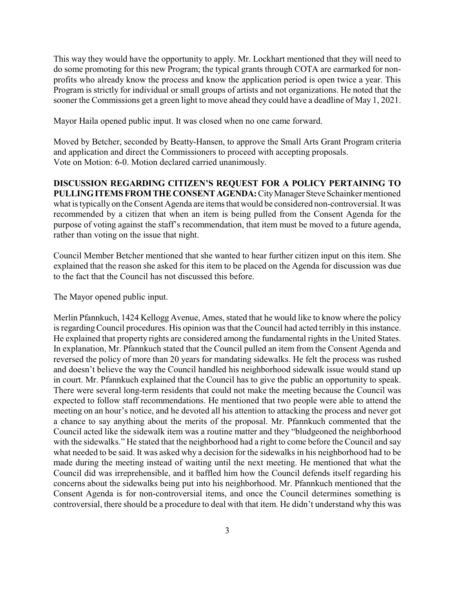This way they would have the opportunity to apply. Mr. Lockhart mentioned that they will need to do some promoting for this new Program; the typical grants through COTA are earmarked for nonprofits who already know the process and know the application period is open twice a year. This Program is strictly for individual or small groups of artists and not organizations. He noted that the sooner the Commissions get a green light to move ahead they could have a deadline of May 1, 2021.

Mayor Haila opened public input. It was closed when no one came forward.

Moved by Betcher, seconded by Beatty-Hansen, to approve the Small Arts Grant Program criteria and application and direct the Commissioners to proceed with accepting proposals. Vote on Motion: 6-0. Motion declared carried unanimously.

**DISCUSSION REGARDING CITIZEN'S REQUEST FOR A POLICY PERTAINING TO** PULLING ITEMS FROM THE CONSENT AGENDA: City Manager Steve Schainker mentioned what is typically on the Consent Agenda are items that would be considered non-controversial. It was recommended by a citizen that when an item is being pulled from the Consent Agenda for the purpose of voting against the staff's recommendation, that item must be moved to a future agenda, rather than voting on the issue that night.

Council Member Betcher mentioned that she wanted to hear further citizen input on this item. She explained that the reason she asked for this item to be placed on the Agenda for discussion was due to the fact that the Council has not discussed this before.

The Mayor opened public input.

Merlin Pfannkuch, 1424 Kellogg Avenue, Ames, stated that he would like to know where the policy is regarding Council procedures. His opinion was that the Council had acted terribly in this instance. He explained that property rights are considered among the fundamental rights in the United States. In explanation, Mr. Pfannkuch stated that the Council pulled an item from the Consent Agenda and reversed the policy of more than 20 years for mandating sidewalks. He felt the process was rushed and doesn't believe the way the Council handled his neighborhood sidewalk issue would stand up in court. Mr. Pfannkuch explained that the Council has to give the public an opportunity to speak. There were several long-term residents that could not make the meeting because the Council was expected to follow staff recommendations. He mentioned that two people were able to attend the meeting on an hour's notice, and he devoted all his attention to attacking the process and never got a chance to say anything about the merits of the proposal. Mr. Pfannkuch commented that the Council acted like the sidewalk item was a routine matter and they "bludgeoned the neighborhood with the sidewalks." He stated that the neighborhood had a right to come before the Council and say what needed to be said. It was asked why a decision for the sidewalks in his neighborhood had to be made during the meeting instead of waiting until the next meeting. He mentioned that what the Council did was irreprehensible, and it baffled him how the Council defends itself regarding his concerns about the sidewalks being put into his neighborhood. Mr. Pfannkuch mentioned that the Consent Agenda is for non-controversial items, and once the Council determines something is controversial, there should be a procedure to deal with that item. He didn't understand why this was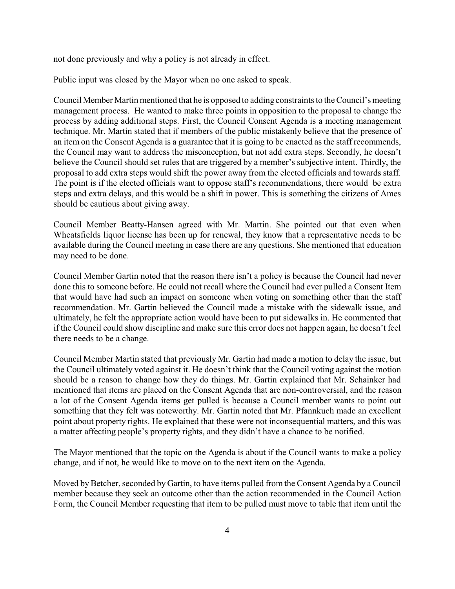not done previously and why a policy is not already in effect.

Public input was closed by the Mayor when no one asked to speak.

Council Member Martin mentioned that he is opposed to adding constraints to the Council's meeting management process. He wanted to make three points in opposition to the proposal to change the process by adding additional steps. First, the Council Consent Agenda is a meeting management technique. Mr. Martin stated that if members of the public mistakenly believe that the presence of an item on the Consent Agenda is a guarantee that it is going to be enacted as the staff recommends, the Council may want to address the misconception, but not add extra steps. Secondly, he doesn't believe the Council should set rules that are triggered by a member's subjective intent. Thirdly, the proposal to add extra steps would shift the power away from the elected officials and towards staff. The point is if the elected officials want to oppose staff's recommendations, there would be extra steps and extra delays, and this would be a shift in power. This is something the citizens of Ames should be cautious about giving away.

Council Member Beatty-Hansen agreed with Mr. Martin. She pointed out that even when Wheatsfields liquor license has been up for renewal, they know that a representative needs to be available during the Council meeting in case there are any questions. She mentioned that education may need to be done.

Council Member Gartin noted that the reason there isn't a policy is because the Council had never done this to someone before. He could not recall where the Council had ever pulled a Consent Item that would have had such an impact on someone when voting on something other than the staff recommendation. Mr. Gartin believed the Council made a mistake with the sidewalk issue, and ultimately, he felt the appropriate action would have been to put sidewalks in. He commented that if the Council could show discipline and make sure this error does not happen again, he doesn't feel there needs to be a change.

Council Member Martin stated that previously Mr. Gartin had made a motion to delay the issue, but the Council ultimately voted against it. He doesn't think that the Council voting against the motion should be a reason to change how they do things. Mr. Gartin explained that Mr. Schainker had mentioned that items are placed on the Consent Agenda that are non-controversial, and the reason a lot of the Consent Agenda items get pulled is because a Council member wants to point out something that they felt was noteworthy. Mr. Gartin noted that Mr. Pfannkuch made an excellent point about property rights. He explained that these were not inconsequential matters, and this was a matter affecting people's property rights, and they didn't have a chance to be notified.

The Mayor mentioned that the topic on the Agenda is about if the Council wants to make a policy change, and if not, he would like to move on to the next item on the Agenda.

Moved by Betcher, seconded by Gartin, to have items pulled from the Consent Agenda by a Council member because they seek an outcome other than the action recommended in the Council Action Form, the Council Member requesting that item to be pulled must move to table that item until the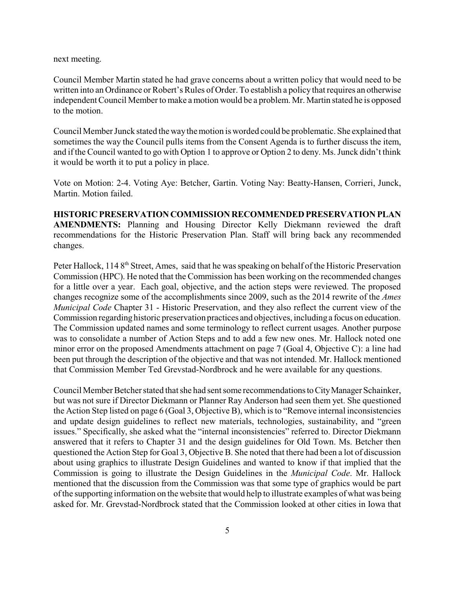next meeting.

Council Member Martin stated he had grave concerns about a written policy that would need to be written into an Ordinance or Robert's Rules of Order. To establish a policy that requires an otherwise independent Council Member to make a motion would be a problem. Mr. Martin stated he is opposed to the motion.

Council Member Junck stated the waythe motion is worded could be problematic. She explained that sometimes the way the Council pulls items from the Consent Agenda is to further discuss the item, and ifthe Council wanted to go with Option 1 to approve or Option 2 to deny. Ms. Junck didn't think it would be worth it to put a policy in place.

Vote on Motion: 2-4. Voting Aye: Betcher, Gartin. Voting Nay: Beatty-Hansen, Corrieri, Junck, Martin. Motion failed.

**HISTORIC PRESERVATION COMMISSION RECOMMENDED PRESERVATION PLAN AMENDMENTS:** Planning and Housing Director Kelly Diekmann reviewed the draft recommendations for the Historic Preservation Plan. Staff will bring back any recommended changes.

Peter Hallock, 114 8<sup>th</sup> Street, Ames, said that he was speaking on behalf of the Historic Preservation Commission (HPC). He noted that the Commission has been working on the recommended changes for a little over a year. Each goal, objective, and the action steps were reviewed. The proposed changes recognize some of the accomplishments since 2009, such as the 2014 rewrite of the *Ames Municipal Code* Chapter 31 - Historic Preservation, and they also reflect the current view of the Commission regarding historic preservation practices and objectives, including a focus on education. The Commission updated names and some terminology to reflect current usages. Another purpose was to consolidate a number of Action Steps and to add a few new ones. Mr. Hallock noted one minor error on the proposed Amendments attachment on page 7 (Goal 4, Objective C): a line had been put through the description of the objective and that was not intended. Mr. Hallock mentioned that Commission Member Ted Grevstad-Nordbrock and he were available for any questions.

Council Member Betcher stated that she had sent some recommendationstoCityManager Schainker, but was not sure if Director Diekmann or Planner Ray Anderson had seen them yet. She questioned the Action Step listed on page 6 (Goal 3, Objective B), which is to "Remove internal inconsistencies and update design guidelines to reflect new materials, technologies, sustainability, and "green issues." Specifically, she asked what the "internal inconsistencies" referred to. Director Diekmann answered that it refers to Chapter 31 and the design guidelines for Old Town. Ms. Betcher then questioned the Action Step for Goal 3, Objective B. She noted that there had been a lot of discussion about using graphics to illustrate Design Guidelines and wanted to know if that implied that the Commission is going to illustrate the Design Guidelines in the *Municipal Code*. Mr. Hallock mentioned that the discussion from the Commission was that some type of graphics would be part ofthe supporting information on the website that would help to illustrate examples of what was being asked for. Mr. Grevstad-Nordbrock stated that the Commission looked at other cities in Iowa that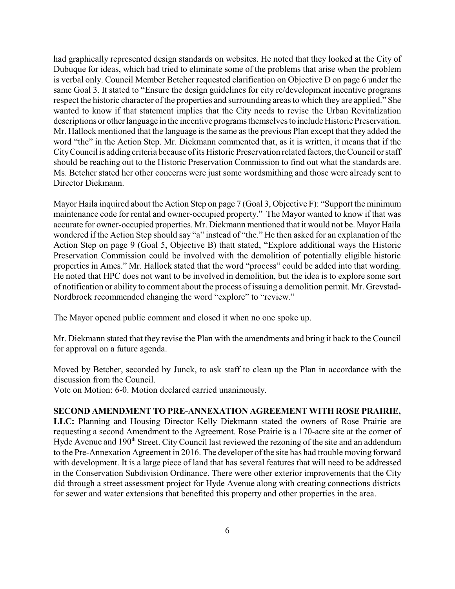had graphically represented design standards on websites. He noted that they looked at the City of Dubuque for ideas, which had tried to eliminate some of the problems that arise when the problem is verbal only. Council Member Betcher requested clarification on Objective D on page 6 under the same Goal 3. It stated to "Ensure the design guidelines for city re/development incentive programs respect the historic character of the properties and surrounding areas to which they are applied." She wanted to know if that statement implies that the City needs to revise the Urban Revitalization descriptions or other language in the incentive programs themselves to include Historic Preservation. Mr. Hallock mentioned that the language is the same as the previous Plan except that they added the word "the" in the Action Step. Mr. Diekmann commented that, as it is written, it means that if the City Council is adding criteria because of its Historic Preservation related factors, the Council or staff should be reaching out to the Historic Preservation Commission to find out what the standards are. Ms. Betcher stated her other concerns were just some wordsmithing and those were already sent to Director Diekmann.

Mayor Haila inquired about the Action Step on page 7 (Goal 3, Objective F): "Support the minimum maintenance code for rental and owner-occupied property." The Mayor wanted to know if that was accurate for owner-occupied properties. Mr. Diekmann mentioned that it would not be. Mayor Haila wondered if the Action Step should say "a" instead of "the." He then asked for an explanation of the Action Step on page 9 (Goal 5, Objective B) thatt stated, "Explore additional ways the Historic Preservation Commission could be involved with the demolition of potentially eligible historic properties in Ames." Mr. Hallock stated that the word "process" could be added into that wording. He noted that HPC does not want to be involved in demolition, but the idea is to explore some sort of notification or ability to comment about the process ofissuing a demolition permit. Mr. Grevstad-Nordbrock recommended changing the word "explore" to "review."

The Mayor opened public comment and closed it when no one spoke up.

Mr. Diekmann stated that they revise the Plan with the amendments and bring it back to the Council for approval on a future agenda.

Moved by Betcher, seconded by Junck, to ask staff to clean up the Plan in accordance with the discussion from the Council.

Vote on Motion: 6-0. Motion declared carried unanimously.

#### **SECOND AMENDMENT TO PRE-ANNEXATION AGREEMENT WITH ROSE PRAIRIE,**

**LLC:** Planning and Housing Director Kelly Diekmann stated the owners of Rose Prairie are requesting a second Amendment to the Agreement. Rose Prairie is a 170-acre site at the corner of Hyde Avenue and 190<sup>th</sup> Street. City Council last reviewed the rezoning of the site and an addendum to the Pre-Annexation Agreement in 2016. The developer of the site has had trouble moving forward with development. It is a large piece of land that has several features that will need to be addressed in the Conservation Subdivision Ordinance. There were other exterior improvements that the City did through a street assessment project for Hyde Avenue along with creating connections districts for sewer and water extensions that benefited this property and other properties in the area.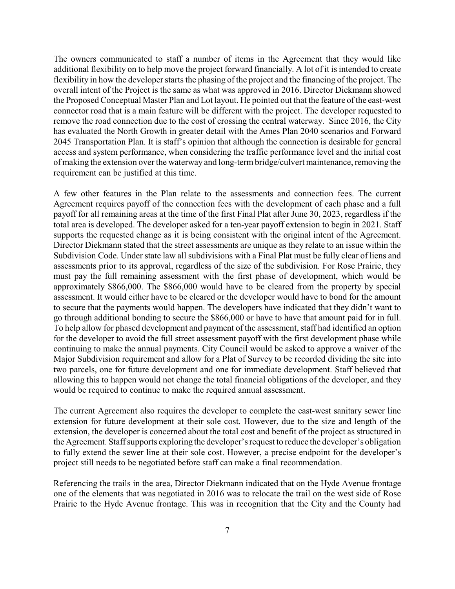The owners communicated to staff a number of items in the Agreement that they would like additional flexibility on to help move the project forward financially. A lot of it is intended to create flexibility in how the developer starts the phasing of the project and the financing of the project. The overall intent of the Project is the same as what was approved in 2016. Director Diekmann showed the Proposed Conceptual Master Plan and Lot layout. He pointed out that the feature of the east-west connector road that is a main feature will be different with the project. The developer requested to remove the road connection due to the cost of crossing the central waterway. Since 2016, the City has evaluated the North Growth in greater detail with the Ames Plan 2040 scenarios and Forward 2045 Transportation Plan. It is staff's opinion that although the connection is desirable for general access and system performance, when considering the traffic performance level and the initial cost of making the extension over the waterway and long-termbridge/culvert maintenance, removing the requirement can be justified at this time.

A few other features in the Plan relate to the assessments and connection fees. The current Agreement requires payoff of the connection fees with the development of each phase and a full payoff for all remaining areas at the time of the first Final Plat after June 30, 2023, regardless if the total area is developed. The developer asked for a ten-year payoff extension to begin in 2021. Staff supports the requested change as it is being consistent with the original intent of the Agreement. Director Diekmann stated that the street assessments are unique as they relate to an issue within the Subdivision Code. Under state law all subdivisions with a Final Plat must be fully clear of liens and assessments prior to its approval, regardless of the size of the subdivision. For Rose Prairie, they must pay the full remaining assessment with the first phase of development, which would be approximately \$866,000. The \$866,000 would have to be cleared from the property by special assessment. It would either have to be cleared or the developer would have to bond for the amount to secure that the payments would happen. The developers have indicated that they didn't want to go through additional bonding to secure the \$866,000 or have to have that amount paid for in full. To help allow for phased development and payment of the assessment, staff had identified an option for the developer to avoid the full street assessment payoff with the first development phase while continuing to make the annual payments. City Council would be asked to approve a waiver of the Major Subdivision requirement and allow for a Plat of Survey to be recorded dividing the site into two parcels, one for future development and one for immediate development. Staff believed that allowing this to happen would not change the total financial obligations of the developer, and they would be required to continue to make the required annual assessment.

The current Agreement also requires the developer to complete the east-west sanitary sewer line extension for future development at their sole cost. However, due to the size and length of the extension, the developer is concerned about the total cost and benefit of the project as structured in the Agreement. Staffsupports exploring the developer's request to reduce the developer's obligation to fully extend the sewer line at their sole cost. However, a precise endpoint for the developer's project still needs to be negotiated before staff can make a final recommendation.

Referencing the trails in the area, Director Diekmann indicated that on the Hyde Avenue frontage one of the elements that was negotiated in 2016 was to relocate the trail on the west side of Rose Prairie to the Hyde Avenue frontage. This was in recognition that the City and the County had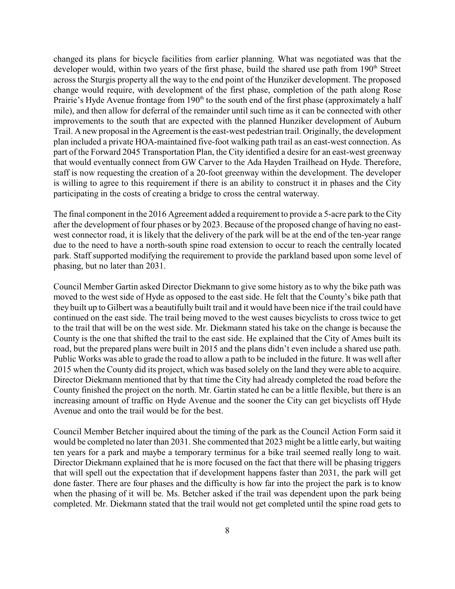changed its plans for bicycle facilities from earlier planning. What was negotiated was that the developer would, within two years of the first phase, build the shared use path from  $190<sup>th</sup>$  Street across the Sturgis property all the way to the end point of the Hunziker development. The proposed change would require, with development of the first phase, completion of the path along Rose Prairie's Hyde Avenue frontage from 190<sup>th</sup> to the south end of the first phase (approximately a half mile), and then allow for deferral of the remainder until such time as it can be connected with other improvements to the south that are expected with the planned Hunziker development of Auburn Trail. A new proposal in the Agreement is the east-west pedestrian trail. Originally, the development plan included a private HOA-maintained five-foot walking path trail as an east-west connection. As part of the Forward 2045 Transportation Plan, the City identified a desire for an east-west greenway that would eventually connect from GW Carver to the Ada Hayden Trailhead on Hyde. Therefore, staff is now requesting the creation of a 20-foot greenway within the development. The developer is willing to agree to this requirement if there is an ability to construct it in phases and the City participating in the costs of creating a bridge to cross the central waterway.

The final component in the 2016 Agreement added a requirement to provide a 5-acre park to the City after the development of four phases or by 2023. Because of the proposed change of having no eastwest connector road, it is likely that the delivery of the park will be at the end of the ten-year range due to the need to have a north-south spine road extension to occur to reach the centrally located park. Staff supported modifying the requirement to provide the parkland based upon some level of phasing, but no later than 2031.

Council Member Gartin asked Director Diekmann to give some history as to why the bike path was moved to the west side of Hyde as opposed to the east side. He felt that the County's bike path that they built up to Gilbert was a beautifully built trail and it would have been nice if the trail could have continued on the east side. The trail being moved to the west causes bicyclists to cross twice to get to the trail that will be on the west side. Mr. Diekmann stated his take on the change is because the County is the one that shifted the trail to the east side. He explained that the City of Ames built its road, but the prepared plans were built in 2015 and the plans didn't even include a shared use path. Public Works was able to grade the road to allow a path to be included in the future. It was well after 2015 when the County did its project, which was based solely on the land they were able to acquire. Director Diekmann mentioned that by that time the City had already completed the road before the County finished the project on the north. Mr. Gartin stated he can be a little flexible, but there is an increasing amount of traffic on Hyde Avenue and the sooner the City can get bicyclists off Hyde Avenue and onto the trail would be for the best.

Council Member Betcher inquired about the timing of the park as the Council Action Form said it would be completed no later than 2031. She commented that 2023 might be a little early, but waiting ten years for a park and maybe a temporary terminus for a bike trail seemed really long to wait. Director Diekmann explained that he is more focused on the fact that there will be phasing triggers that will spell out the expectation that if development happens faster than 2031, the park will get done faster. There are four phases and the difficulty is how far into the project the park is to know when the phasing of it will be. Ms. Betcher asked if the trail was dependent upon the park being completed. Mr. Diekmann stated that the trail would not get completed until the spine road gets to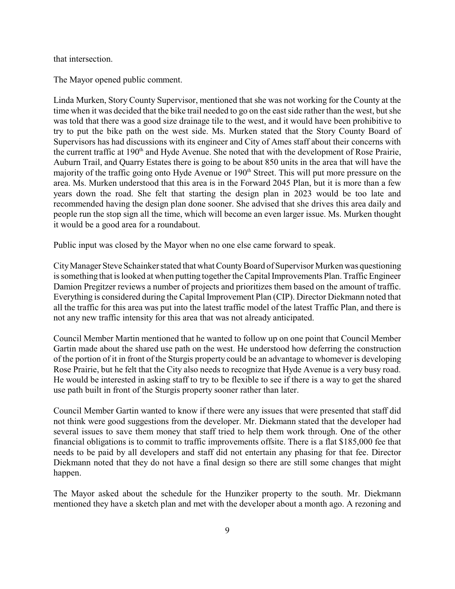that intersection.

The Mayor opened public comment.

Linda Murken, Story County Supervisor, mentioned that she was not working for the County at the time when it was decided that the bike trail needed to go on the east side rather than the west, but she was told that there was a good size drainage tile to the west, and it would have been prohibitive to try to put the bike path on the west side. Ms. Murken stated that the Story County Board of Supervisors has had discussions with its engineer and City of Ames staff about their concerns with the current traffic at 190<sup>th</sup> and Hyde Avenue. She noted that with the development of Rose Prairie, Auburn Trail, and Quarry Estates there is going to be about 850 units in the area that will have the majority of the traffic going onto Hyde Avenue or 190<sup>th</sup> Street. This will put more pressure on the area. Ms. Murken understood that this area is in the Forward 2045 Plan, but it is more than a few years down the road. She felt that starting the design plan in 2023 would be too late and recommended having the design plan done sooner. She advised that she drives this area daily and people run the stop sign all the time, which will become an even larger issue. Ms. Murken thought it would be a good area for a roundabout.

Public input was closed by the Mayor when no one else came forward to speak.

CityManager Steve Schainker stated that what CountyBoard of Supervisor Murken was questioning is something that is looked at when putting together the Capital Improvements Plan. Traffic Engineer Damion Pregitzer reviews a number of projects and prioritizes them based on the amount of traffic. Everything is considered during the Capital Improvement Plan (CIP). Director Diekmann noted that all the traffic for this area was put into the latest traffic model of the latest Traffic Plan, and there is not any new traffic intensity for this area that was not already anticipated.

Council Member Martin mentioned that he wanted to follow up on one point that Council Member Gartin made about the shared use path on the west. He understood how deferring the construction of the portion of it in front of the Sturgis property could be an advantage to whomever is developing Rose Prairie, but he felt that the City also needs to recognize that Hyde Avenue is a very busy road. He would be interested in asking staff to try to be flexible to see if there is a way to get the shared use path built in front of the Sturgis property sooner rather than later.

Council Member Gartin wanted to know if there were any issues that were presented that staff did not think were good suggestions from the developer. Mr. Diekmann stated that the developer had several issues to save them money that staff tried to help them work through. One of the other financial obligations is to commit to traffic improvements offsite. There is a flat \$185,000 fee that needs to be paid by all developers and staff did not entertain any phasing for that fee. Director Diekmann noted that they do not have a final design so there are still some changes that might happen.

The Mayor asked about the schedule for the Hunziker property to the south. Mr. Diekmann mentioned they have a sketch plan and met with the developer about a month ago. A rezoning and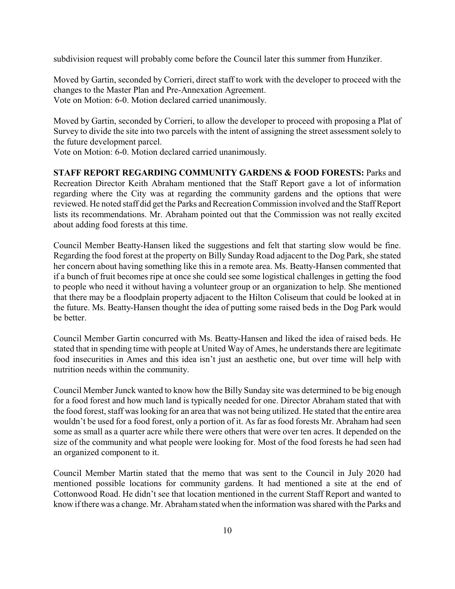subdivision request will probably come before the Council later this summer from Hunziker.

Moved by Gartin, seconded by Corrieri, direct staff to work with the developer to proceed with the changes to the Master Plan and Pre-Annexation Agreement. Vote on Motion: 6-0. Motion declared carried unanimously.

Moved by Gartin, seconded by Corrieri, to allow the developer to proceed with proposing a Plat of Survey to divide the site into two parcels with the intent of assigning the street assessment solely to the future development parcel.

Vote on Motion: 6-0. Motion declared carried unanimously.

**STAFF REPORT REGARDING COMMUNITY GARDENS & FOOD FORESTS:** Parks and Recreation Director Keith Abraham mentioned that the Staff Report gave a lot of information regarding where the City was at regarding the community gardens and the options that were reviewed. He noted staff did get the Parks and Recreation Commission involved and the StaffReport lists its recommendations. Mr. Abraham pointed out that the Commission was not really excited about adding food forests at this time.

Council Member Beatty-Hansen liked the suggestions and felt that starting slow would be fine. Regarding the food forest at the property on Billy Sunday Road adjacent to the Dog Park, she stated her concern about having something like this in a remote area. Ms. Beatty-Hansen commented that if a bunch of fruit becomes ripe at once she could see some logistical challenges in getting the food to people who need it without having a volunteer group or an organization to help. She mentioned that there may be a floodplain property adjacent to the Hilton Coliseum that could be looked at in the future. Ms. Beatty-Hansen thought the idea of putting some raised beds in the Dog Park would be better.

Council Member Gartin concurred with Ms. Beatty-Hansen and liked the idea of raised beds. He stated that in spending time with people at United Way of Ames, he understands there are legitimate food insecurities in Ames and this idea isn't just an aesthetic one, but over time will help with nutrition needs within the community.

Council Member Junck wanted to know how the Billy Sunday site was determined to be big enough for a food forest and how much land is typically needed for one. Director Abraham stated that with the food forest, staff was looking for an area that was not being utilized. He stated that the entire area wouldn't be used for a food forest, only a portion of it. As far as food forests Mr. Abraham had seen some as small as a quarter acre while there were others that were over ten acres. It depended on the size of the community and what people were looking for. Most of the food forests he had seen had an organized component to it.

Council Member Martin stated that the memo that was sent to the Council in July 2020 had mentioned possible locations for community gardens. It had mentioned a site at the end of Cottonwood Road. He didn't see that location mentioned in the current Staff Report and wanted to know if there was a change. Mr. Abraham stated when the information was shared with the Parks and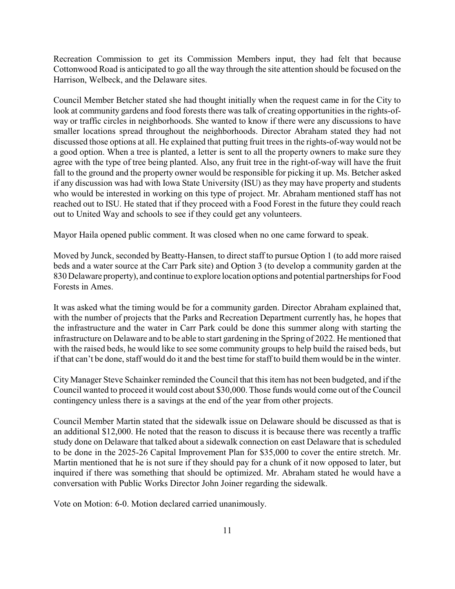Recreation Commission to get its Commission Members input, they had felt that because Cottonwood Road is anticipated to go all the way through the site attention should be focused on the Harrison, Welbeck, and the Delaware sites.

Council Member Betcher stated she had thought initially when the request came in for the City to look at community gardens and food forests there was talk of creating opportunities in the rights-ofway or traffic circles in neighborhoods. She wanted to know if there were any discussions to have smaller locations spread throughout the neighborhoods. Director Abraham stated they had not discussed those options at all. He explained that putting fruit trees in the rights-of-way would not be a good option. When a tree is planted, a letter is sent to all the property owners to make sure they agree with the type of tree being planted. Also, any fruit tree in the right-of-way will have the fruit fall to the ground and the property owner would be responsible for picking it up. Ms. Betcher asked if any discussion was had with Iowa State University (ISU) as they may have property and students who would be interested in working on this type of project. Mr. Abraham mentioned staff has not reached out to ISU. He stated that if they proceed with a Food Forest in the future they could reach out to United Way and schools to see if they could get any volunteers.

Mayor Haila opened public comment. It was closed when no one came forward to speak.

Moved by Junck, seconded by Beatty-Hansen, to direct staff to pursue Option 1 (to add more raised beds and a water source at the Carr Park site) and Option 3 (to develop a community garden at the 830 Delaware property), and continue to explore location options and potential partnerships for Food Forests in Ames.

It was asked what the timing would be for a community garden. Director Abraham explained that, with the number of projects that the Parks and Recreation Department currently has, he hopes that the infrastructure and the water in Carr Park could be done this summer along with starting the infrastructure on Delaware and to be able to start gardening in the Spring of 2022. He mentioned that with the raised beds, he would like to see some community groups to help build the raised beds, but if that can't be done, staff would do it and the best time for staff to build themwould be in the winter.

City Manager Steve Schainker reminded the Council that this item has not been budgeted, and if the Council wanted to proceed it would cost about \$30,000. Those funds would come out of the Council contingency unless there is a savings at the end of the year from other projects.

Council Member Martin stated that the sidewalk issue on Delaware should be discussed as that is an additional \$12,000. He noted that the reason to discuss it is because there was recently a traffic study done on Delaware that talked about a sidewalk connection on east Delaware that is scheduled to be done in the 2025-26 Capital Improvement Plan for \$35,000 to cover the entire stretch. Mr. Martin mentioned that he is not sure if they should pay for a chunk of it now opposed to later, but inquired if there was something that should be optimized. Mr. Abraham stated he would have a conversation with Public Works Director John Joiner regarding the sidewalk.

Vote on Motion: 6-0. Motion declared carried unanimously.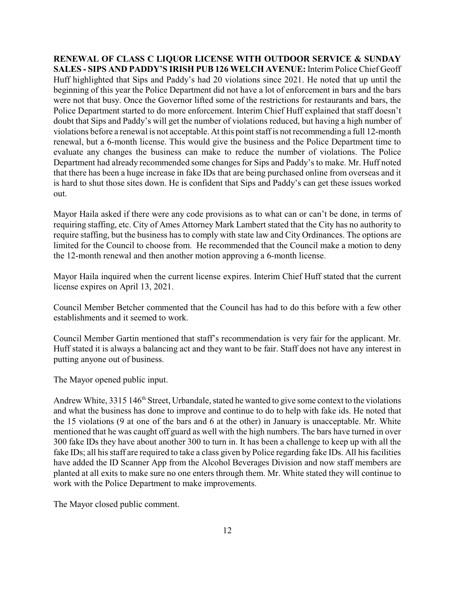**RENEWAL OF CLASS C LIQUOR LICENSE WITH OUTDOOR SERVICE & SUNDAY SALES - SIPS AND PADDY'S IRISH PUB 126 WELCH AVENUE:** Interim Police Chief Geoff Huff highlighted that Sips and Paddy's had 20 violations since 2021. He noted that up until the beginning of this year the Police Department did not have a lot of enforcement in bars and the bars were not that busy. Once the Governor lifted some of the restrictions for restaurants and bars, the Police Department started to do more enforcement. Interim Chief Huff explained that staff doesn't doubt that Sips and Paddy's will get the number of violations reduced, but having a high number of violations before a renewal is not acceptable. At this point staffis not recommending a full 12-month renewal, but a 6-month license. This would give the business and the Police Department time to evaluate any changes the business can make to reduce the number of violations. The Police Department had already recommended some changes for Sips and Paddy's to make. Mr. Huff noted that there has been a huge increase in fake IDs that are being purchased online from overseas and it is hard to shut those sites down. He is confident that Sips and Paddy's can get these issues worked out.

Mayor Haila asked if there were any code provisions as to what can or can't be done, in terms of requiring staffing, etc. City of Ames Attorney Mark Lambert stated that the City has no authority to require staffing, but the business has to comply with state law and City Ordinances. The options are limited for the Council to choose from. He recommended that the Council make a motion to deny the 12-month renewal and then another motion approving a 6-month license.

Mayor Haila inquired when the current license expires. Interim Chief Huff stated that the current license expires on April 13, 2021.

Council Member Betcher commented that the Council has had to do this before with a few other establishments and it seemed to work.

Council Member Gartin mentioned that staff's recommendation is very fair for the applicant. Mr. Huff stated it is always a balancing act and they want to be fair. Staff does not have any interest in putting anyone out of business.

The Mayor opened public input.

Andrew White, 3315 146<sup>th</sup> Street, Urbandale, stated he wanted to give some context to the violations and what the business has done to improve and continue to do to help with fake ids. He noted that the 15 violations (9 at one of the bars and 6 at the other) in January is unacceptable. Mr. White mentioned that he was caught off guard as well with the high numbers. The bars have turned in over 300 fake IDs they have about another 300 to turn in. It has been a challenge to keep up with all the fake IDs; all his staff are required to take a class given by Police regarding fake IDs. All his facilities have added the ID Scanner App from the Alcohol Beverages Division and now staff members are planted at all exits to make sure no one enters through them. Mr. White stated they will continue to work with the Police Department to make improvements.

The Mayor closed public comment.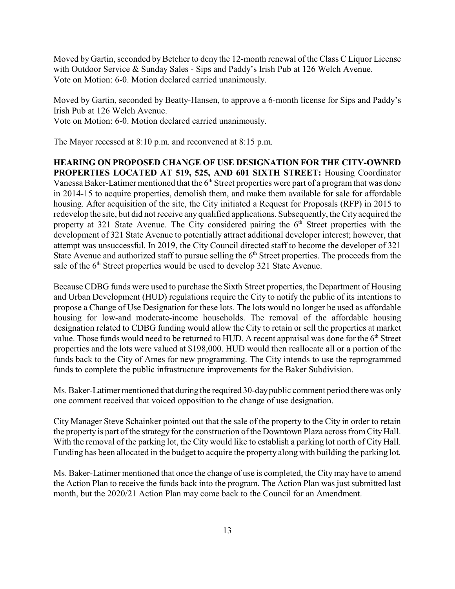Moved by Gartin, seconded by Betcher to deny the 12-month renewal of the Class C Liquor License with Outdoor Service & Sunday Sales - Sips and Paddy's Irish Pub at 126 Welch Avenue. Vote on Motion: 6-0. Motion declared carried unanimously.

Moved by Gartin, seconded by Beatty-Hansen, to approve a 6-month license for Sips and Paddy's Irish Pub at 126 Welch Avenue. Vote on Motion: 6-0. Motion declared carried unanimously.

The Mayor recessed at 8:10 p.m. and reconvened at 8:15 p.m.

**HEARING ON PROPOSED CHANGE OF USE DESIGNATION FOR THE CITY-OWNED PROPERTIES LOCATED AT 519, 525, AND 601 SIXTH STREET:** Housing Coordinator Vanessa Baker-Latimer mentioned that the  $6<sup>th</sup>$  Street properties were part of a program that was done in 2014-15 to acquire properties, demolish them, and make them available for sale for affordable housing. After acquisition of the site, the City initiated a Request for Proposals (RFP) in 2015 to redevelop the site, but did not receive any qualified applications. Subsequently, the City acquired the property at 321 State Avenue. The City considered pairing the  $6<sup>th</sup>$  Street properties with the development of 321 State Avenue to potentially attract additional developer interest; however, that attempt was unsuccessful. In 2019, the City Council directed staff to become the developer of 321 State Avenue and authorized staff to pursue selling the  $6<sup>th</sup>$  Street properties. The proceeds from the sale of the  $6<sup>th</sup>$  Street properties would be used to develop 321 State Avenue.

Because CDBG funds were used to purchase the Sixth Street properties, the Department of Housing and Urban Development (HUD) regulations require the City to notify the public of its intentions to propose a Change of Use Designation for these lots. The lots would no longer be used as affordable housing for low-and moderate-income households. The removal of the affordable housing designation related to CDBG funding would allow the City to retain or sell the properties at market value. Those funds would need to be returned to HUD. A recent appraisal was done for the  $6<sup>th</sup>$  Street properties and the lots were valued at \$198,000. HUD would then reallocate all or a portion of the funds back to the City of Ames for new programming. The City intends to use the reprogrammed funds to complete the public infrastructure improvements for the Baker Subdivision.

Ms. Baker-Latimer mentioned that during the required 30-daypublic comment period there was only one comment received that voiced opposition to the change of use designation.

City Manager Steve Schainker pointed out that the sale of the property to the City in order to retain the property is part ofthe strategy for the construction of the Downtown Plaza across from City Hall. With the removal of the parking lot, the City would like to establish a parking lot north of City Hall. Funding has been allocated in the budget to acquire the property along with building the parking lot.

Ms. Baker-Latimer mentioned that once the change of use is completed, the City may have to amend the Action Plan to receive the funds back into the program. The Action Plan was just submitted last month, but the 2020/21 Action Plan may come back to the Council for an Amendment.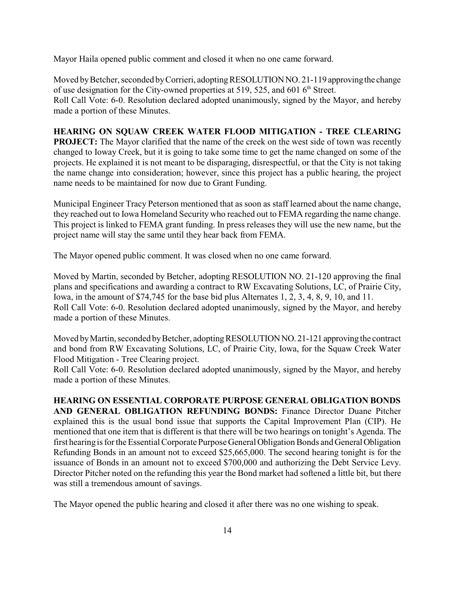Mayor Haila opened public comment and closed it when no one came forward.

Moved by Betcher, seconded by Corrieri, adopting RESOLUTION NO. 21-119 approving the change of use designation for the City-owned properties at 519, 525, and 601  $6<sup>th</sup>$  Street. Roll Call Vote: 6-0. Resolution declared adopted unanimously, signed by the Mayor, and hereby made a portion of these Minutes.

### **HEARING ON SQUAW CREEK WATER FLOOD MITIGATION - TREE CLEARING**

**PROJECT:** The Mayor clarified that the name of the creek on the west side of town was recently changed to Ioway Creek, but it is going to take some time to get the name changed on some of the projects. He explained it is not meant to be disparaging, disrespectful, or that the City is not taking the name change into consideration; however, since this project has a public hearing, the project name needs to be maintained for now due to Grant Funding.

Municipal Engineer Tracy Peterson mentioned that as soon as staff learned about the name change, they reached out to Iowa Homeland Security who reached out to FEMA regarding the name change. This project is linked to FEMA grant funding. In press releases they will use the new name, but the project name will stay the same until they hear back from FEMA.

The Mayor opened public comment. It was closed when no one came forward.

Moved by Martin, seconded by Betcher, adopting RESOLUTION NO. 21-120 approving the final plans and specifications and awarding a contract to RW Excavating Solutions, LC, of Prairie City, Iowa, in the amount of \$74,745 for the base bid plus Alternates 1, 2, 3, 4, 8, 9, 10, and 11. Roll Call Vote: 6-0. Resolution declared adopted unanimously, signed by the Mayor, and hereby made a portion of these Minutes.

Moved by Martin, seconded by Betcher, adopting RESOLUTION NO. 21-121 approving the contract and bond from RW Excavating Solutions, LC, of Prairie City, Iowa, for the Squaw Creek Water Flood Mitigation - Tree Clearing project.

Roll Call Vote: 6-0. Resolution declared adopted unanimously, signed by the Mayor, and hereby made a portion of these Minutes.

**HEARING ON ESSENTIAL CORPORATE PURPOSE GENERAL OBLIGATION BONDS AND GENERAL OBLIGATION REFUNDING BONDS:** Finance Director Duane Pitcher explained this is the usual bond issue that supports the Capital Improvement Plan (CIP). He mentioned that one item that is different is that there will be two hearings on tonight's Agenda. The first hearing is for the Essential Corporate Purpose General Obligation Bonds and General Obligation Refunding Bonds in an amount not to exceed \$25,665,000. The second hearing tonight is for the issuance of Bonds in an amount not to exceed \$700,000 and authorizing the Debt Service Levy. Director Pitcher noted on the refunding this year the Bond market had softened a little bit, but there was still a tremendous amount of savings.

The Mayor opened the public hearing and closed it after there was no one wishing to speak.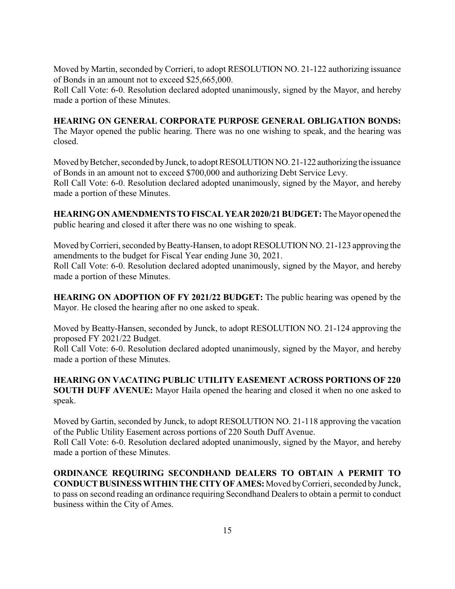Moved by Martin, seconded by Corrieri, to adopt RESOLUTION NO. 21-122 authorizing issuance of Bonds in an amount not to exceed \$25,665,000.

Roll Call Vote: 6-0. Resolution declared adopted unanimously, signed by the Mayor, and hereby made a portion of these Minutes.

## **HEARING ON GENERAL CORPORATE PURPOSE GENERAL OBLIGATION BONDS:**

The Mayor opened the public hearing. There was no one wishing to speak, and the hearing was closed.

Moved by Betcher, seconded by Junck, to adopt RESOLUTION NO. 21-122 authorizing the issuance of Bonds in an amount not to exceed \$700,000 and authorizing Debt Service Levy. Roll Call Vote: 6-0. Resolution declared adopted unanimously, signed by the Mayor, and hereby

made a portion of these Minutes.

**HEARINGONAMENDMENTSTOFISCAL YEAR 2020/21 BUDGET:** The Mayor opened the public hearing and closed it after there was no one wishing to speak.

Moved by Corrieri, seconded by Beatty-Hansen, to adopt RESOLUTION NO. 21-123 approving the amendments to the budget for Fiscal Year ending June 30, 2021.

Roll Call Vote: 6-0. Resolution declared adopted unanimously, signed by the Mayor, and hereby made a portion of these Minutes.

**HEARING ON ADOPTION OF FY 2021/22 BUDGET:** The public hearing was opened by the Mayor. He closed the hearing after no one asked to speak.

Moved by Beatty-Hansen, seconded by Junck, to adopt RESOLUTION NO. 21-124 approving the proposed FY 2021/22 Budget.

Roll Call Vote: 6-0. Resolution declared adopted unanimously, signed by the Mayor, and hereby made a portion of these Minutes.

**HEARING ON VACATING PUBLIC UTILITY EASEMENT ACROSS PORTIONS OF 220 SOUTH DUFF AVENUE:** Mayor Haila opened the hearing and closed it when no one asked to speak.

Moved by Gartin, seconded by Junck, to adopt RESOLUTION NO. 21-118 approving the vacation of the Public Utility Easement across portions of 220 South Duff Avenue.

Roll Call Vote: 6-0. Resolution declared adopted unanimously, signed by the Mayor, and hereby made a portion of these Minutes.

**ORDINANCE REQUIRING SECONDHAND DEALERS TO OBTAIN A PERMIT TO CONDUCTBUSINESSWITHINTHECITYOFAMES:** Moved byCorrieri, seconded byJunck, to pass on second reading an ordinance requiring Secondhand Dealers to obtain a permit to conduct business within the City of Ames.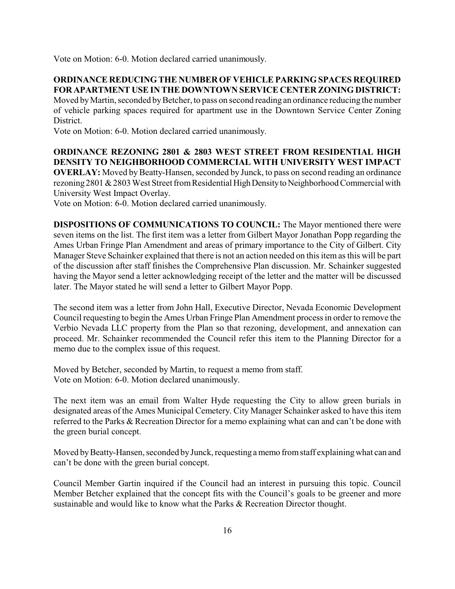Vote on Motion: 6-0. Motion declared carried unanimously.

## **ORDINANCE REDUCING THE NUMBEROF VEHICLE PARKING SPACES REQUIRED FOR APARTMENT USEINTHE DOWNTOWN SERVICE CENTER ZONING DISTRICT:**

Moved by Martin, seconded by Betcher, to pass on second reading an ordinance reducing the number of vehicle parking spaces required for apartment use in the Downtown Service Center Zoning District.

Vote on Motion: 6-0. Motion declared carried unanimously.

#### **ORDINANCE REZONING 2801 & 2803 WEST STREET FROM RESIDENTIAL HIGH DENSITY TO NEIGHBORHOOD COMMERCIAL WITH UNIVERSITY WEST IMPACT**

**OVERLAY:** Moved by Beatty-Hansen, seconded by Junck, to pass on second reading an ordinance rezoning 2801 & 2803 West Street from Residential High Density to Neighborhood Commercial with University West Impact Overlay.

Vote on Motion: 6-0. Motion declared carried unanimously.

**DISPOSITIONS OF COMMUNICATIONS TO COUNCIL:** The Mayor mentioned there were seven items on the list. The first item was a letter from Gilbert Mayor Jonathan Popp regarding the Ames Urban Fringe Plan Amendment and areas of primary importance to the City of Gilbert. City Manager Steve Schainker explained that there is not an action needed on this item as this will be part of the discussion after staff finishes the Comprehensive Plan discussion. Mr. Schainker suggested having the Mayor send a letter acknowledging receipt of the letter and the matter will be discussed later. The Mayor stated he will send a letter to Gilbert Mayor Popp.

The second item was a letter from John Hall, Executive Director, Nevada Economic Development Council requesting to begin the Ames Urban Fringe Plan Amendment process in order to remove the Verbio Nevada LLC property from the Plan so that rezoning, development, and annexation can proceed. Mr. Schainker recommended the Council refer this item to the Planning Director for a memo due to the complex issue of this request.

Moved by Betcher, seconded by Martin, to request a memo from staff. Vote on Motion: 6-0. Motion declared unanimously.

The next item was an email from Walter Hyde requesting the City to allow green burials in designated areas of the Ames Municipal Cemetery. City Manager Schainker asked to have this item referred to the Parks & Recreation Director for a memo explaining what can and can't be done with the green burial concept.

Moved by Beatty-Hansen, seconded by Junck, requesting a memo from staff explaining what can and can't be done with the green burial concept.

Council Member Gartin inquired if the Council had an interest in pursuing this topic. Council Member Betcher explained that the concept fits with the Council's goals to be greener and more sustainable and would like to know what the Parks & Recreation Director thought.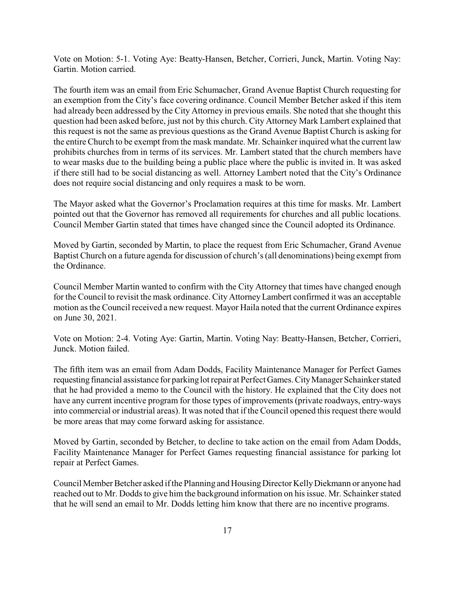Vote on Motion: 5-1. Voting Aye: Beatty-Hansen, Betcher, Corrieri, Junck, Martin. Voting Nay: Gartin. Motion carried.

The fourth item was an email from Eric Schumacher, Grand Avenue Baptist Church requesting for an exemption from the City's face covering ordinance. Council Member Betcher asked if this item had already been addressed by the City Attorney in previous emails. She noted that she thought this question had been asked before, just not by this church. City Attorney Mark Lambert explained that this request is not the same as previous questions as the Grand Avenue Baptist Church is asking for the entire Church to be exempt from the mask mandate. Mr. Schainker inquired what the current law prohibits churches from in terms of its services. Mr. Lambert stated that the church members have to wear masks due to the building being a public place where the public is invited in. It was asked if there still had to be social distancing as well. Attorney Lambert noted that the City's Ordinance does not require social distancing and only requires a mask to be worn.

The Mayor asked what the Governor's Proclamation requires at this time for masks. Mr. Lambert pointed out that the Governor has removed all requirements for churches and all public locations. Council Member Gartin stated that times have changed since the Council adopted its Ordinance.

Moved by Gartin, seconded by Martin, to place the request from Eric Schumacher, Grand Avenue Baptist Church on a future agenda for discussion of church's (all denominations) being exempt from the Ordinance.

Council Member Martin wanted to confirm with the City Attorney that times have changed enough for the Council to revisit the mask ordinance. City AttorneyLambert confirmed it was an acceptable motion as the Council received a new request. Mayor Haila noted that the current Ordinance expires on June 30, 2021.

Vote on Motion: 2-4. Voting Aye: Gartin, Martin. Voting Nay: Beatty-Hansen, Betcher, Corrieri, Junck. Motion failed.

The fifth item was an email from Adam Dodds, Facility Maintenance Manager for Perfect Games requesting financial assistance for parking lot repair at Perfect Games. City Manager Schainker stated that he had provided a memo to the Council with the history. He explained that the City does not have any current incentive program for those types of improvements (private roadways, entry-ways into commercial or industrial areas). It was noted that if the Council opened this request there would be more areas that may come forward asking for assistance.

Moved by Gartin, seconded by Betcher, to decline to take action on the email from Adam Dodds, Facility Maintenance Manager for Perfect Games requesting financial assistance for parking lot repair at Perfect Games.

Council Member Betcher asked ifthe Planning and HousingDirector KellyDiekmann or anyone had reached out to Mr. Dodds to give him the background information on his issue. Mr. Schainker stated that he will send an email to Mr. Dodds letting him know that there are no incentive programs.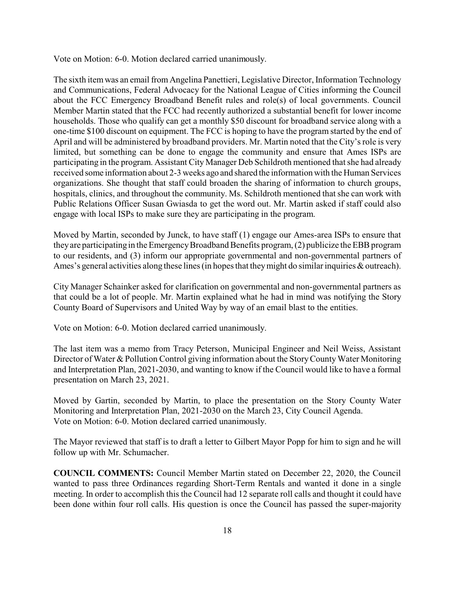Vote on Motion: 6-0. Motion declared carried unanimously.

The sixth itemwas an email fromAngelina Panettieri, Legislative Director, Information Technology and Communications, Federal Advocacy for the National League of Cities informing the Council about the FCC Emergency Broadband Benefit rules and role(s) of local governments. Council Member Martin stated that the FCC had recently authorized a substantial benefit for lower income households. Those who qualify can get a monthly \$50 discount for broadband service along with a one-time \$100 discount on equipment. The FCC is hoping to have the program started by the end of April and will be administered by broadband providers. Mr. Martin noted that the City's role is very limited, but something can be done to engage the community and ensure that Ames ISPs are participating in the program. Assistant City Manager Deb Schildroth mentioned that she had already received some information about 2-3 weeks ago and shared the information with the Human Services organizations. She thought that staff could broaden the sharing of information to church groups, hospitals, clinics, and throughout the community. Ms. Schildroth mentioned that she can work with Public Relations Officer Susan Gwiasda to get the word out. Mr. Martin asked if staff could also engage with local ISPs to make sure they are participating in the program.

Moved by Martin, seconded by Junck, to have staff (1) engage our Ames-area ISPs to ensure that they are participating in the Emergency Broadband Benefits program, (2) publicize the EBB program to our residents, and (3) inform our appropriate governmental and non-governmental partners of Ames's general activities along these lines (in hopes that they might do similar inquiries  $\&$  outreach).

City Manager Schainker asked for clarification on governmental and non-governmental partners as that could be a lot of people. Mr. Martin explained what he had in mind was notifying the Story County Board of Supervisors and United Way by way of an email blast to the entities.

Vote on Motion: 6-0. Motion declared carried unanimously.

The last item was a memo from Tracy Peterson, Municipal Engineer and Neil Weiss, Assistant Director of Water & Pollution Control giving information about the Story County Water Monitoring and Interpretation Plan, 2021-2030, and wanting to know if the Council would like to have a formal presentation on March 23, 2021.

Moved by Gartin, seconded by Martin, to place the presentation on the Story County Water Monitoring and Interpretation Plan, 2021-2030 on the March 23, City Council Agenda. Vote on Motion: 6-0. Motion declared carried unanimously.

The Mayor reviewed that staff is to draft a letter to Gilbert Mayor Popp for him to sign and he will follow up with Mr. Schumacher.

**COUNCIL COMMENTS:** Council Member Martin stated on December 22, 2020, the Council wanted to pass three Ordinances regarding Short-Term Rentals and wanted it done in a single meeting. In order to accomplish this the Council had 12 separate roll calls and thought it could have been done within four roll calls. His question is once the Council has passed the super-majority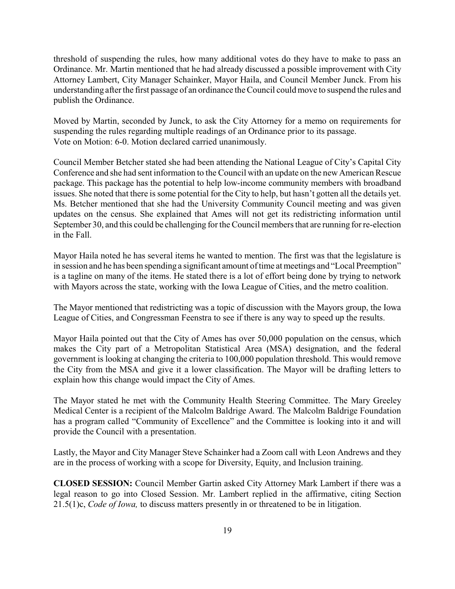threshold of suspending the rules, how many additional votes do they have to make to pass an Ordinance. Mr. Martin mentioned that he had already discussed a possible improvement with City Attorney Lambert, City Manager Schainker, Mayor Haila, and Council Member Junck. From his understanding after the first passage of an ordinance the Council could move to suspend the rules and publish the Ordinance.

Moved by Martin, seconded by Junck, to ask the City Attorney for a memo on requirements for suspending the rules regarding multiple readings of an Ordinance prior to its passage. Vote on Motion: 6-0. Motion declared carried unanimously.

Council Member Betcher stated she had been attending the National League of City's Capital City Conference and she had sent information to the Council with an update on the new American Rescue package. This package has the potential to help low-income community members with broadband issues. She noted that there is some potential for the City to help, but hasn't gotten all the details yet. Ms. Betcher mentioned that she had the University Community Council meeting and was given updates on the census. She explained that Ames will not get its redistricting information until September 30, and this could be challenging for the Council members that are running for re-election in the Fall.

Mayor Haila noted he has several items he wanted to mention. The first was that the legislature is in session and he has been spending a significant amount oftime at meetings and "Local Preemption" is a tagline on many of the items. He stated there is a lot of effort being done by trying to network with Mayors across the state, working with the Iowa League of Cities, and the metro coalition.

The Mayor mentioned that redistricting was a topic of discussion with the Mayors group, the Iowa League of Cities, and Congressman Feenstra to see if there is any way to speed up the results.

Mayor Haila pointed out that the City of Ames has over 50,000 population on the census, which makes the City part of a Metropolitan Statistical Area (MSA) designation, and the federal government is looking at changing the criteria to 100,000 population threshold. This would remove the City from the MSA and give it a lower classification. The Mayor will be drafting letters to explain how this change would impact the City of Ames.

The Mayor stated he met with the Community Health Steering Committee. The Mary Greeley Medical Center is a recipient of the Malcolm Baldrige Award. The Malcolm Baldrige Foundation has a program called "Community of Excellence" and the Committee is looking into it and will provide the Council with a presentation.

Lastly, the Mayor and City Manager Steve Schainker had a Zoom call with Leon Andrews and they are in the process of working with a scope for Diversity, Equity, and Inclusion training.

**CLOSED SESSION:** Council Member Gartin asked City Attorney Mark Lambert if there was a legal reason to go into Closed Session. Mr. Lambert replied in the affirmative, citing Section 21.5(1)c, *Code of Iowa,* to discuss matters presently in or threatened to be in litigation.